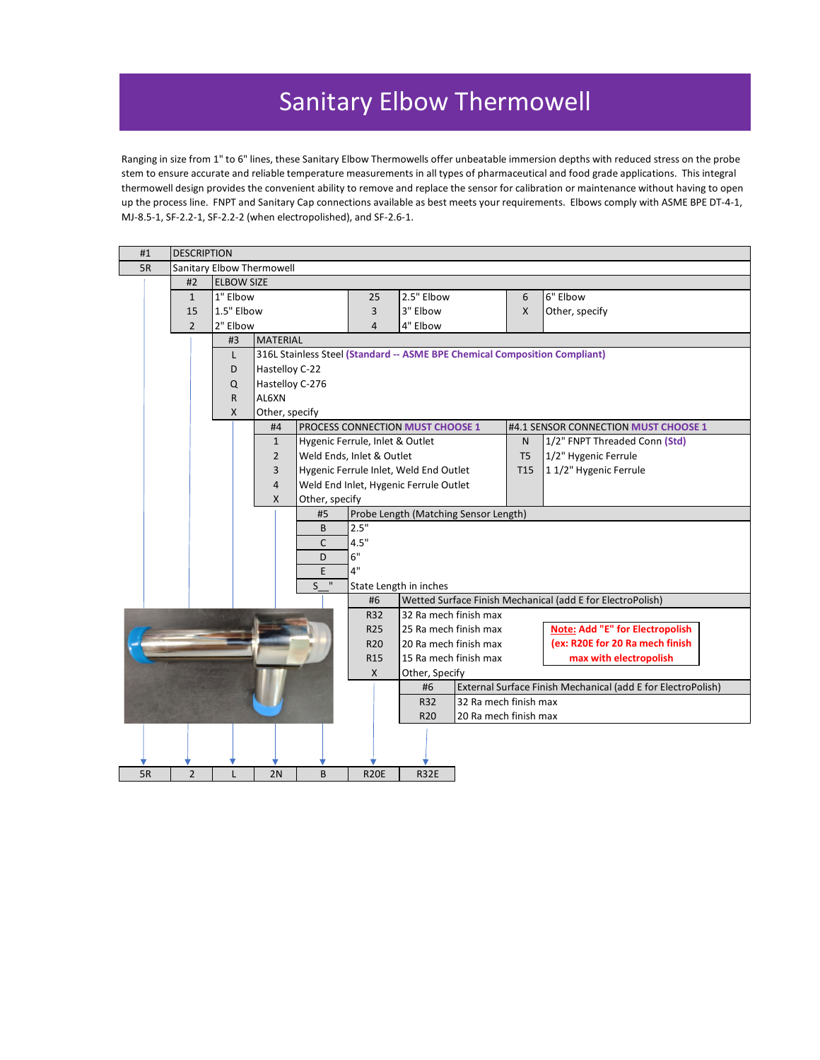## Sanitary Elbow Thermowell

Ranging in size from 1" to 6" lines, these Sanitary Elbow Thermowells offer unbeatable immersion depths with reduced stress on the probe stem to ensure accurate and reliable temperature measurements in all types of pharmaceutical and food grade applications. This integral thermowell design provides the convenient ability to remove and replace the sensor for calibration or maintenance without having to open up the process line. FNPT and Sanitary Cap connections available as best meets your requirements. Elbows comply with ASME BPE DT-4-1, MJ-8.5-1, SF-2.2-1, SF-2.2-2 (when electropolished), and SF-2.6-1.

| #1 |                                                    | <b>DESCRIPTION</b>        |                   |                                        |                                                                            |                                                                    |                       |                                                            |  |  |  |  |  |  |
|----|----------------------------------------------------|---------------------------|-------------------|----------------------------------------|----------------------------------------------------------------------------|--------------------------------------------------------------------|-----------------------|------------------------------------------------------------|--|--|--|--|--|--|
| 5R |                                                    | Sanitary Elbow Thermowell |                   |                                        |                                                                            |                                                                    |                       |                                                            |  |  |  |  |  |  |
|    | #2                                                 |                           | <b>ELBOW SIZE</b> |                                        |                                                                            |                                                                    |                       |                                                            |  |  |  |  |  |  |
|    | $\mathbf{1}$                                       | 1" Elbow                  |                   |                                        | 25                                                                         | 2.5" Elbow                                                         | 6                     | 6" Elbow                                                   |  |  |  |  |  |  |
|    | 15                                                 | 1.5" Elbow                |                   |                                        | 3                                                                          | 3" Elbow                                                           | $\mathsf{x}$          | Other, specify                                             |  |  |  |  |  |  |
|    | $\overline{2}$                                     | 2" Elbow                  |                   |                                        | $\overline{4}$                                                             | 4" Elbow                                                           |                       |                                                            |  |  |  |  |  |  |
|    |                                                    | #3                        | <b>MATERIAL</b>   |                                        |                                                                            |                                                                    |                       |                                                            |  |  |  |  |  |  |
|    |                                                    | L                         |                   |                                        | 316L Stainless Steel (Standard -- ASME BPE Chemical Composition Compliant) |                                                                    |                       |                                                            |  |  |  |  |  |  |
|    |                                                    | D                         | Hastelloy C-22    |                                        |                                                                            |                                                                    |                       |                                                            |  |  |  |  |  |  |
|    |                                                    | Q                         | Hastelloy C-276   |                                        |                                                                            |                                                                    |                       |                                                            |  |  |  |  |  |  |
|    |                                                    | $\mathsf{R}$              | AL6XN             |                                        |                                                                            |                                                                    |                       |                                                            |  |  |  |  |  |  |
|    |                                                    | X                         | Other, specify    |                                        |                                                                            |                                                                    |                       |                                                            |  |  |  |  |  |  |
|    | #4                                                 |                           |                   |                                        |                                                                            | PROCESS CONNECTION MUST CHOOSE 1                                   |                       | #4.1 SENSOR CONNECTION MUST CHOOSE 1                       |  |  |  |  |  |  |
|    |                                                    |                           | $\mathbf{1}$      |                                        | Hygenic Ferrule, Inlet & Outlet                                            |                                                                    | N                     | 1/2" FNPT Threaded Conn (Std)                              |  |  |  |  |  |  |
|    |                                                    |                           | $\overline{2}$    |                                        | Weld Ends, Inlet & Outlet                                                  |                                                                    | T <sub>5</sub>        | 1/2" Hygenic Ferrule                                       |  |  |  |  |  |  |
| 3  |                                                    |                           |                   |                                        | Hygenic Ferrule Inlet, Weld End Outlet                                     | T <sub>15</sub>                                                    | 11/2" Hygenic Ferrule |                                                            |  |  |  |  |  |  |
| 4  |                                                    |                           |                   | Weld End Inlet, Hygenic Ferrule Outlet |                                                                            |                                                                    |                       |                                                            |  |  |  |  |  |  |
|    | Other, specify<br>X                                |                           |                   |                                        |                                                                            |                                                                    |                       |                                                            |  |  |  |  |  |  |
|    |                                                    |                           |                   | #5                                     | Probe Length (Matching Sensor Length)                                      |                                                                    |                       |                                                            |  |  |  |  |  |  |
|    |                                                    |                           |                   | B                                      | 2.5"                                                                       |                                                                    |                       |                                                            |  |  |  |  |  |  |
|    | C                                                  |                           |                   |                                        |                                                                            | 4.5"                                                               |                       |                                                            |  |  |  |  |  |  |
|    | D                                                  |                           |                   |                                        |                                                                            | 6"                                                                 |                       |                                                            |  |  |  |  |  |  |
|    | 4"<br>E                                            |                           |                   |                                        |                                                                            |                                                                    |                       |                                                            |  |  |  |  |  |  |
|    | $S^{\overline{u}}$<br>State Length in inches<br>#6 |                           |                   |                                        |                                                                            |                                                                    |                       | Wetted Surface Finish Mechanical (add E for ElectroPolish) |  |  |  |  |  |  |
|    |                                                    |                           |                   |                                        | R32                                                                        | 32 Ra mech finish max                                              |                       |                                                            |  |  |  |  |  |  |
|    |                                                    |                           |                   |                                        | R25                                                                        | 25 Ra mech finish max                                              |                       | Note: Add "E" for Electropolish                            |  |  |  |  |  |  |
|    |                                                    |                           |                   |                                        | R <sub>20</sub>                                                            | 20 Ra mech finish max                                              |                       | (ex: R20E for 20 Ra mech finish                            |  |  |  |  |  |  |
|    |                                                    |                           |                   |                                        | R <sub>15</sub>                                                            | 15 Ra mech finish max                                              |                       | max with electropolish                                     |  |  |  |  |  |  |
|    |                                                    |                           |                   |                                        | X                                                                          | Other, Specify                                                     |                       |                                                            |  |  |  |  |  |  |
|    |                                                    |                           |                   |                                        |                                                                            | External Surface Finish Mechanical (add E for ElectroPolish)<br>#6 |                       |                                                            |  |  |  |  |  |  |
|    |                                                    |                           |                   |                                        | 32 Ra mech finish max<br>R32                                               |                                                                    |                       |                                                            |  |  |  |  |  |  |
|    |                                                    |                           |                   |                                        |                                                                            | R <sub>20</sub>                                                    | 20 Ra mech finish max |                                                            |  |  |  |  |  |  |
|    |                                                    |                           |                   |                                        |                                                                            |                                                                    |                       |                                                            |  |  |  |  |  |  |
|    |                                                    |                           |                   |                                        |                                                                            |                                                                    |                       |                                                            |  |  |  |  |  |  |
|    |                                                    |                           |                   |                                        |                                                                            |                                                                    |                       |                                                            |  |  |  |  |  |  |
| 5R | $\overline{2}$                                     |                           | 2N                | B                                      | <b>R20E</b>                                                                | <b>R32E</b>                                                        |                       |                                                            |  |  |  |  |  |  |